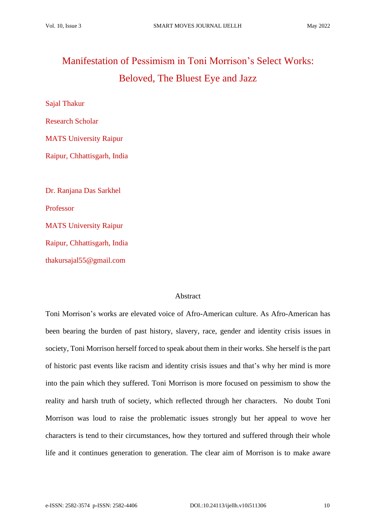# Manifestation of Pessimism in Toni Morrison's Select Works: Beloved*,* The Bluest Eye and Jazz

Sajal Thakur Research Scholar MATS University Raipur Raipur, Chhattisgarh, India Dr. Ranjana Das Sarkhel Professor MATS University Raipur Raipur, Chhattisgarh, India thakursajal55@gmail.com

### Abstract

Toni Morrison's works are elevated voice of Afro-American culture. As Afro-American has been bearing the burden of past history, slavery, race, gender and identity crisis issues in society, Toni Morrison herself forced to speak about them in their works. She herself is the part of historic past events like racism and identity crisis issues and that's why her mind is more into the pain which they suffered. Toni Morrison is more focused on pessimism to show the reality and harsh truth of society, which reflected through her characters. No doubt Toni Morrison was loud to raise the problematic issues strongly but her appeal to wove her characters is tend to their circumstances, how they tortured and suffered through their whole life and it continues generation to generation. The clear aim of Morrison is to make aware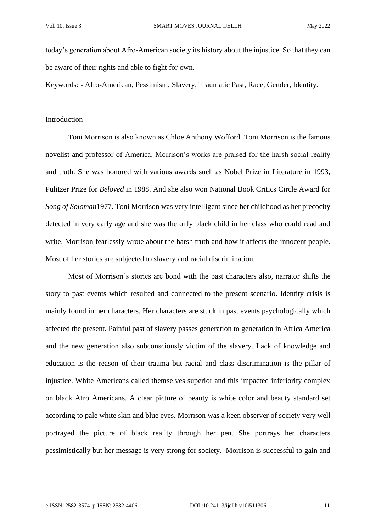today's generation about Afro-American society its history about the injustice. So that they can be aware of their rights and able to fight for own.

Keywords: - Afro-American, Pessimism, Slavery, Traumatic Past, Race, Gender, Identity.

### Introduction

Toni Morrison is also known as Chloe Anthony Wofford. Toni Morrison is the famous novelist and professor of America. Morrison's works are praised for the harsh social reality and truth. She was honored with various awards such as Nobel Prize in Literature in 1993, Pulitzer Prize for *Beloved* in 1988. And she also won National Book Critics Circle Award for *Song of Soloman*1977. Toni Morrison was very intelligent since her childhood as her precocity detected in very early age and she was the only black child in her class who could read and write. Morrison fearlessly wrote about the harsh truth and how it affects the innocent people. Most of her stories are subjected to slavery and racial discrimination.

Most of Morrison's stories are bond with the past characters also, narrator shifts the story to past events which resulted and connected to the present scenario. Identity crisis is mainly found in her characters. Her characters are stuck in past events psychologically which affected the present. Painful past of slavery passes generation to generation in Africa America and the new generation also subconsciously victim of the slavery. Lack of knowledge and education is the reason of their trauma but racial and class discrimination is the pillar of injustice. White Americans called themselves superior and this impacted inferiority complex on black Afro Americans. A clear picture of beauty is white color and beauty standard set according to pale white skin and blue eyes. Morrison was a keen observer of society very well portrayed the picture of black reality through her pen. She portrays her characters pessimistically but her message is very strong for society. Morrison is successful to gain and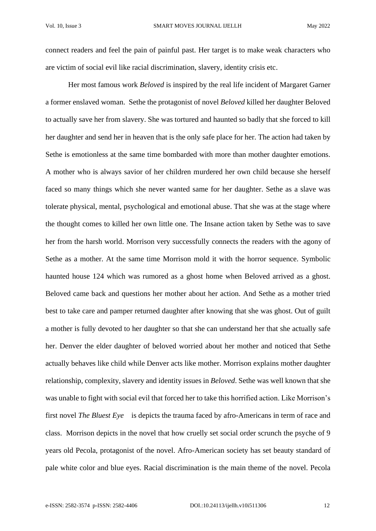connect readers and feel the pain of painful past. Her target is to make weak characters who are victim of social evil like racial discrimination, slavery, identity crisis etc.

Her most famous work *Beloved* is inspired by the real life incident of Margaret Garner a former enslaved woman. Sethe the protagonist of novel *Beloved* killed her daughter Beloved to actually save her from slavery. She was tortured and haunted so badly that she forced to kill her daughter and send her in heaven that is the only safe place for her. The action had taken by Sethe is emotionless at the same time bombarded with more than mother daughter emotions. A mother who is always savior of her children murdered her own child because she herself faced so many things which she never wanted same for her daughter. Sethe as a slave was tolerate physical, mental, psychological and emotional abuse. That she was at the stage where the thought comes to killed her own little one. The Insane action taken by Sethe was to save her from the harsh world. Morrison very successfully connects the readers with the agony of Sethe as a mother. At the same time Morrison mold it with the horror sequence. Symbolic haunted house 124 which was rumored as a ghost home when Beloved arrived as a ghost. Beloved came back and questions her mother about her action. And Sethe as a mother tried best to take care and pamper returned daughter after knowing that she was ghost. Out of guilt a mother is fully devoted to her daughter so that she can understand her that she actually safe her. Denver the elder daughter of beloved worried about her mother and noticed that Sethe actually behaves like child while Denver acts like mother. Morrison explains mother daughter relationship, complexity, slavery and identity issues in *Beloved*. Sethe was well known that she was unable to fight with social evil that forced her to take this horrified action. Like Morrison's first novel *The Bluest Eye* is depicts the trauma faced by afro-Americans in term of race and class. Morrison depicts in the novel that how cruelly set social order scrunch the psyche of 9 years old Pecola, protagonist of the novel. Afro-American society has set beauty standard of pale white color and blue eyes. Racial discrimination is the main theme of the novel. Pecola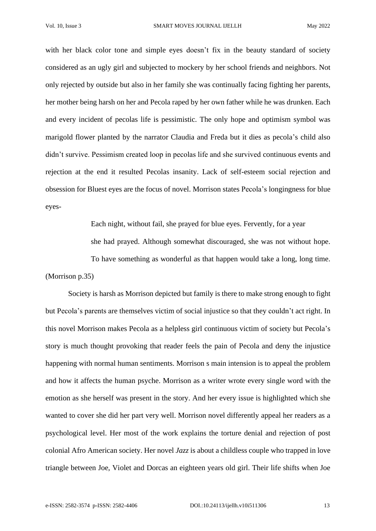with her black color tone and simple eyes doesn't fix in the beauty standard of society considered as an ugly girl and subjected to mockery by her school friends and neighbors. Not only rejected by outside but also in her family she was continually facing fighting her parents, her mother being harsh on her and Pecola raped by her own father while he was drunken. Each and every incident of pecolas life is pessimistic. The only hope and optimism symbol was marigold flower planted by the narrator Claudia and Freda but it dies as pecola's child also didn't survive. Pessimism created loop in pecolas life and she survived continuous events and rejection at the end it resulted Pecolas insanity. Lack of self-esteem social rejection and obsession for Bluest eyes are the focus of novel. Morrison states Pecola's longingness for blue eyes-

Each night, without fail, she prayed for blue eyes. Fervently, for a year she had prayed. Although somewhat discouraged, she was not without hope. To have something as wonderful as that happen would take a long, long time. (Morrison p.35)

Society is harsh as Morrison depicted but family is there to make strong enough to fight but Pecola's parents are themselves victim of social injustice so that they couldn't act right. In this novel Morrison makes Pecola as a helpless girl continuous victim of society but Pecola's story is much thought provoking that reader feels the pain of Pecola and deny the injustice happening with normal human sentiments. Morrison s main intension is to appeal the problem and how it affects the human psyche. Morrison as a writer wrote every single word with the emotion as she herself was present in the story. And her every issue is highlighted which she wanted to cover she did her part very well. Morrison novel differently appeal her readers as a psychological level. Her most of the work explains the torture denial and rejection of post colonial Afro American society. Her novel *Jazz* is about a childless couple who trapped in love triangle between Joe, Violet and Dorcas an eighteen years old girl. Their life shifts when Joe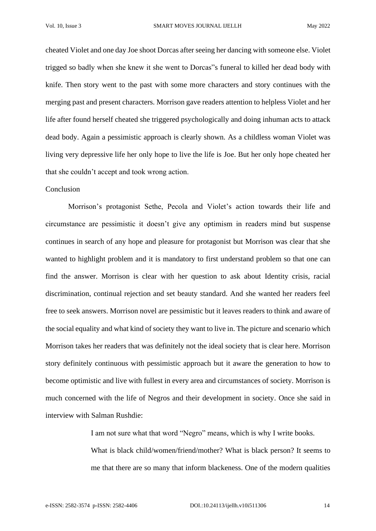cheated Violet and one day Joe shoot Dorcas after seeing her dancing with someone else. Violet trigged so badly when she knew it she went to Dorcas"s funeral to killed her dead body with knife. Then story went to the past with some more characters and story continues with the merging past and present characters. Morrison gave readers attention to helpless Violet and her life after found herself cheated she triggered psychologically and doing inhuman acts to attack dead body. Again a pessimistic approach is clearly shown. As a childless woman Violet was living very depressive life her only hope to live the life is Joe. But her only hope cheated her that she couldn't accept and took wrong action.

#### Conclusion

Morrison's protagonist Sethe, Pecola and Violet's action towards their life and circumstance are pessimistic it doesn't give any optimism in readers mind but suspense continues in search of any hope and pleasure for protagonist but Morrison was clear that she wanted to highlight problem and it is mandatory to first understand problem so that one can find the answer. Morrison is clear with her question to ask about Identity crisis, racial discrimination, continual rejection and set beauty standard. And she wanted her readers feel free to seek answers. Morrison novel are pessimistic but it leaves readers to think and aware of the social equality and what kind of society they want to live in. The picture and scenario which Morrison takes her readers that was definitely not the ideal society that is clear here. Morrison story definitely continuous with pessimistic approach but it aware the generation to how to become optimistic and live with fullest in every area and circumstances of society. Morrison is much concerned with the life of Negros and their development in society. Once she said in interview with Salman Rushdie:

I am not sure what that word "Negro" means, which is why I write books.

What is black child/women/friend/mother? What is black person? It seems to me that there are so many that inform blackeness. One of the modern qualities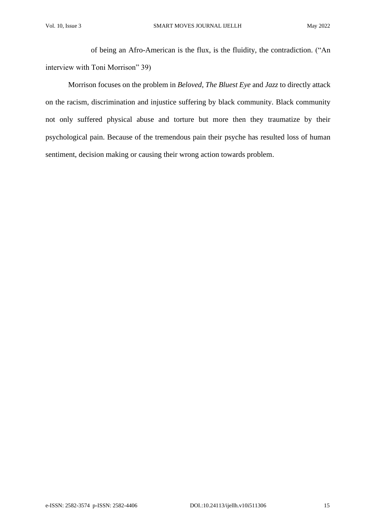of being an Afro-American is the flux, is the fluidity, the contradiction. ("An interview with Toni Morrison" 39)

Morrison focuses on the problem in *Beloved*, *The Bluest Eye* and *Jazz* to directly attack on the racism, discrimination and injustice suffering by black community. Black community not only suffered physical abuse and torture but more then they traumatize by their psychological pain. Because of the tremendous pain their psyche has resulted loss of human sentiment, decision making or causing their wrong action towards problem.